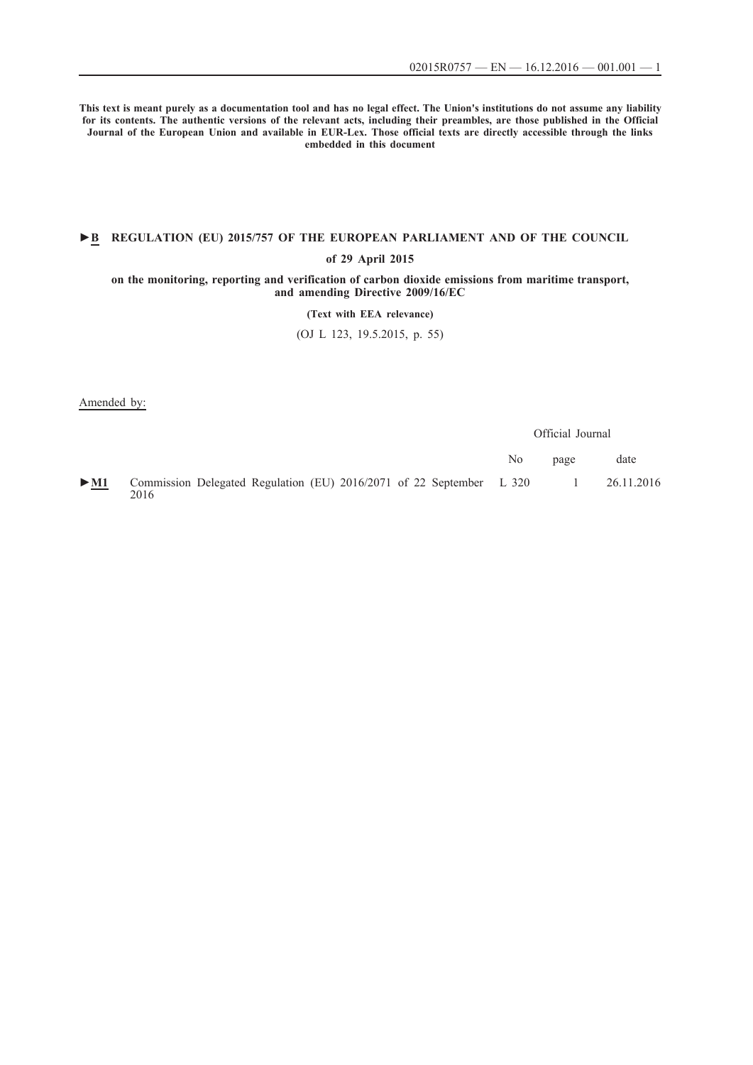**This text is meant purely as a documentation tool and has no legal effect. The Union's institutions do not assume any liability for its contents. The authentic versions of the relevant acts, including their preambles, are those published in the Official Journal of the European Union and available in EUR-Lex. Those official texts are directly accessible through the links embedded in this document**

# **►B [REGULATION \(EU\) 2015/757 OF THE EUROPEAN PARLIAMENT AND OF THE COUNCIL](http://data.europa.eu/eli/reg/2015/757/oj/eng)**

# **[of 29 April 2015](http://data.europa.eu/eli/reg/2015/757/oj/eng)**

**[on the monitoring, reporting and verification of carbon dioxide emissions from maritime transport,](http://data.europa.eu/eli/reg/2015/757/oj/eng) [and amending Directive 2009/16/EC](http://data.europa.eu/eli/reg/2015/757/oj/eng)**

# **[\(Text with EEA relevance\)](http://data.europa.eu/eli/reg/2015/757/oj/eng)**

[\(OJ L 123, 19.5.2015, p. 55\)](http://data.europa.eu/eli/reg/2015/757/oj/eng)

Amended by:

Official Journal No page date [►](http://data.europa.eu/eli/reg_del/2016/2071/oj/eng)**[M1](http://data.europa.eu/eli/reg_del/2016/2071/oj/eng)** [Commission Delegated Regulation \(EU\) 2016/2071 of 22 September](http://data.europa.eu/eli/reg_del/2016/2071/oj/eng) [2016](http://data.europa.eu/eli/reg_del/2016/2071/oj/eng) [L 320 1 26.11.2016](http://data.europa.eu/eli/reg_del/2016/2071/oj/eng)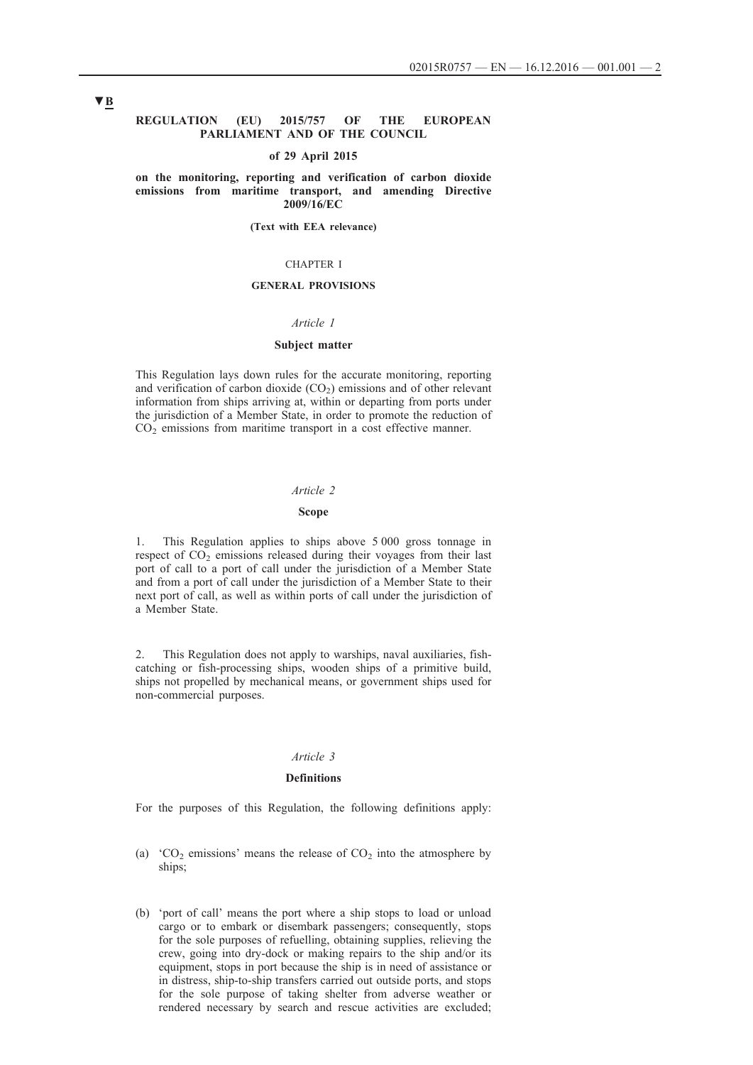### **REGULATION (EU) 2015/757 OF THE EUROPEAN PARLIAMENT AND OF THE COUNCIL**

### **of 29 April 2015**

**on the monitoring, reporting and verification of carbon dioxide emissions from maritime transport, and amending Directive 2009/16/EC**

**(Text with EEA relevance)**

#### CHAPTER I

# **GENERAL PROVISIONS**

#### *Article 1*

#### **Subject matter**

This Regulation lays down rules for the accurate monitoring, reporting and verification of carbon dioxide  $(CO<sub>2</sub>)$  emissions and of other relevant information from ships arriving at, within or departing from ports under the jurisdiction of a Member State, in order to promote the reduction of  $CO<sub>2</sub>$  emissions from maritime transport in a cost effective manner.

#### *Article 2*

#### **Scope**

1. This Regulation applies to ships above 5 000 gross tonnage in respect of  $CO<sub>2</sub>$  emissions released during their voyages from their last port of call to a port of call under the jurisdiction of a Member State and from a port of call under the jurisdiction of a Member State to their next port of call, as well as within ports of call under the jurisdiction of a Member State.

2. This Regulation does not apply to warships, naval auxiliaries, fishcatching or fish-processing ships, wooden ships of a primitive build, ships not propelled by mechanical means, or government ships used for non-commercial purposes.

## *Article 3*

### **Definitions**

For the purposes of this Regulation, the following definitions apply:

- (a) 'CO<sub>2</sub> emissions' means the release of  $CO<sub>2</sub>$  into the atmosphere by ships;
- (b) 'port of call' means the port where a ship stops to load or unload cargo or to embark or disembark passengers; consequently, stops for the sole purposes of refuelling, obtaining supplies, relieving the crew, going into dry-dock or making repairs to the ship and/or its equipment, stops in port because the ship is in need of assistance or in distress, ship-to-ship transfers carried out outside ports, and stops for the sole purpose of taking shelter from adverse weather or rendered necessary by search and rescue activities are excluded;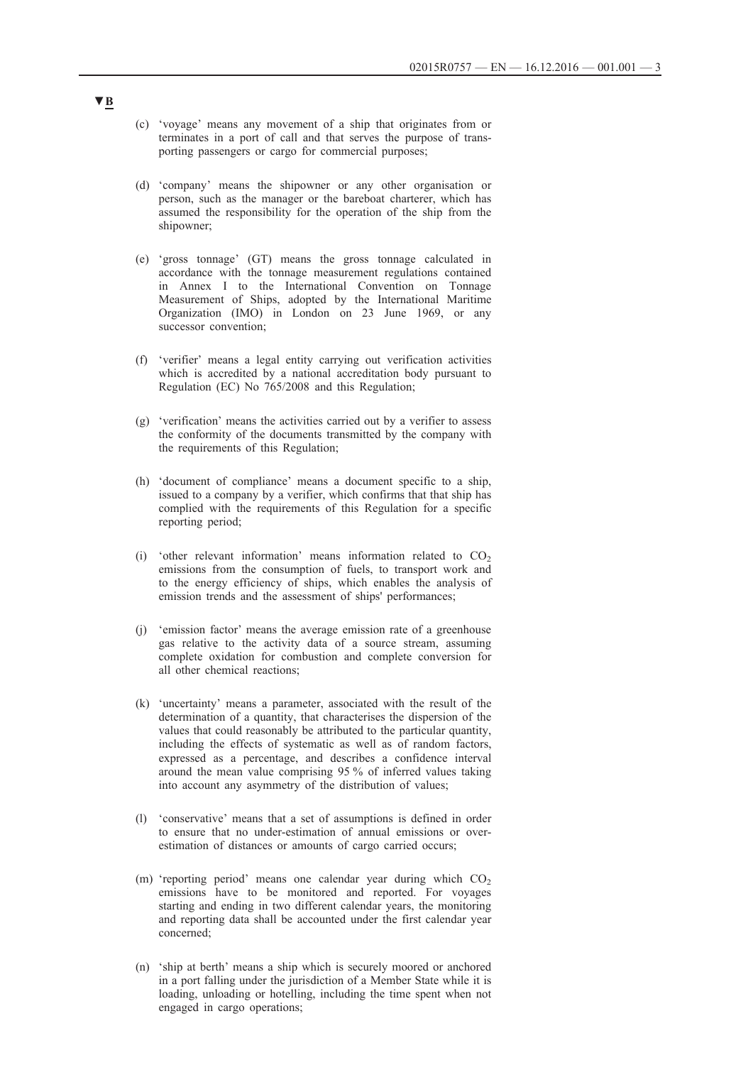- (c) 'voyage' means any movement of a ship that originates from or terminates in a port of call and that serves the purpose of transporting passengers or cargo for commercial purposes;
- (d) 'company' means the shipowner or any other organisation or person, such as the manager or the bareboat charterer, which has assumed the responsibility for the operation of the ship from the shipowner;
- (e) 'gross tonnage' (GT) means the gross tonnage calculated in accordance with the tonnage measurement regulations contained in Annex I to the International Convention on Tonnage Measurement of Ships, adopted by the International Maritime Organization (IMO) in London on 23 June 1969, or any successor convention;
- (f) 'verifier' means a legal entity carrying out verification activities which is accredited by a national accreditation body pursuant to Regulation (EC) No 765/2008 and this Regulation;
- (g) 'verification' means the activities carried out by a verifier to assess the conformity of the documents transmitted by the company with the requirements of this Regulation;
- (h) 'document of compliance' means a document specific to a ship, issued to a company by a verifier, which confirms that that ship has complied with the requirements of this Regulation for a specific reporting period;
- (i) 'other relevant information' means information related to  $CO<sub>2</sub>$ emissions from the consumption of fuels, to transport work and to the energy efficiency of ships, which enables the analysis of emission trends and the assessment of ships' performances;
- (j) 'emission factor' means the average emission rate of a greenhouse gas relative to the activity data of a source stream, assuming complete oxidation for combustion and complete conversion for all other chemical reactions;
- (k) 'uncertainty' means a parameter, associated with the result of the determination of a quantity, that characterises the dispersion of the values that could reasonably be attributed to the particular quantity, including the effects of systematic as well as of random factors, expressed as a percentage, and describes a confidence interval around the mean value comprising 95 % of inferred values taking into account any asymmetry of the distribution of values;
- (l) 'conservative' means that a set of assumptions is defined in order to ensure that no under-estimation of annual emissions or overestimation of distances or amounts of cargo carried occurs;
- (m) 'reporting period' means one calendar year during which  $CO<sub>2</sub>$ emissions have to be monitored and reported. For voyages starting and ending in two different calendar years, the monitoring and reporting data shall be accounted under the first calendar year concerned;
- (n) 'ship at berth' means a ship which is securely moored or anchored in a port falling under the jurisdiction of a Member State while it is loading, unloading or hotelling, including the time spent when not engaged in cargo operations;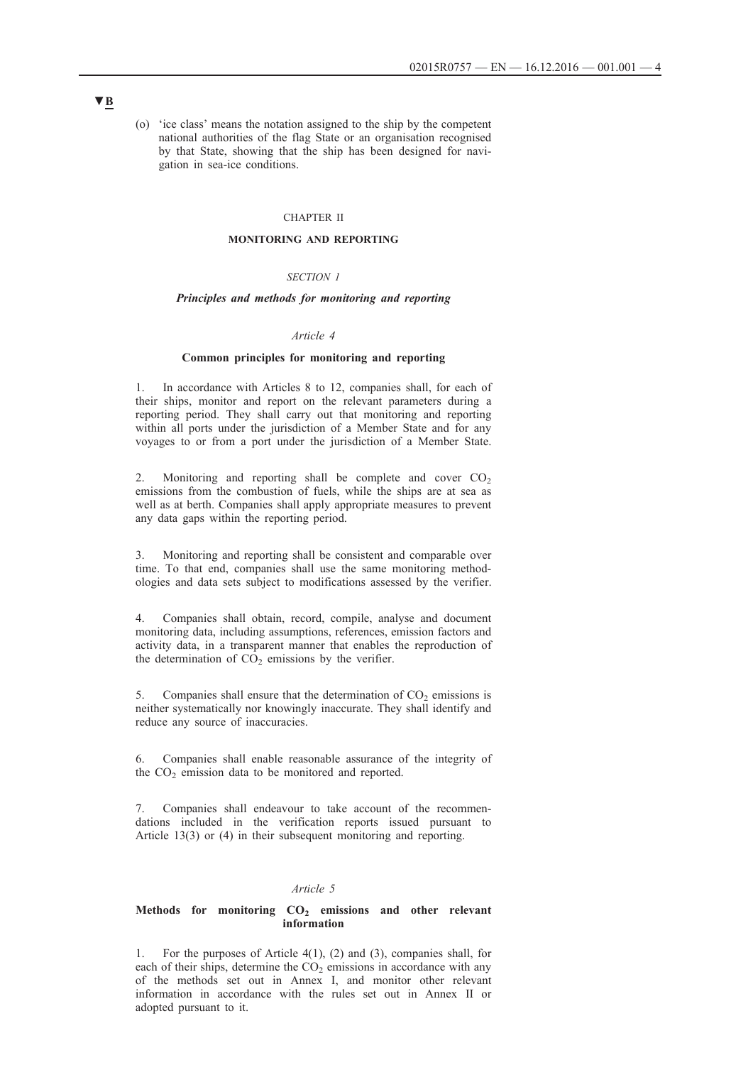(o) 'ice class' means the notation assigned to the ship by the competent national authorities of the flag State or an organisation recognised by that State, showing that the ship has been designed for navigation in sea-ice conditions.

# CHAPTER II

### **MONITORING AND REPORTING**

### *SECTION 1*

### *Principles and methods for monitoring and reporting*

#### *Article 4*

### **Common principles for monitoring and reporting**

1. In accordance with Articles 8 to 12, companies shall, for each of their ships, monitor and report on the relevant parameters during a reporting period. They shall carry out that monitoring and reporting within all ports under the jurisdiction of a Member State and for any voyages to or from a port under the jurisdiction of a Member State.

2. Monitoring and reporting shall be complete and cover  $CO<sub>2</sub>$ emissions from the combustion of fuels, while the ships are at sea as well as at berth. Companies shall apply appropriate measures to prevent any data gaps within the reporting period.

3. Monitoring and reporting shall be consistent and comparable over time. To that end, companies shall use the same monitoring methodologies and data sets subject to modifications assessed by the verifier.

4. Companies shall obtain, record, compile, analyse and document monitoring data, including assumptions, references, emission factors and activity data, in a transparent manner that enables the reproduction of the determination of  $CO<sub>2</sub>$  emissions by the verifier.

5. Companies shall ensure that the determination of  $CO<sub>2</sub>$  emissions is neither systematically nor knowingly inaccurate. They shall identify and reduce any source of inaccuracies.

6. Companies shall enable reasonable assurance of the integrity of the  $CO<sub>2</sub>$  emission data to be monitored and reported.

Companies shall endeavour to take account of the recommendations included in the verification reports issued pursuant to Article 13(3) or (4) in their subsequent monitoring and reporting.

#### *Article 5*

#### Methods for monitoring CO<sub>2</sub> emissions and other relevant **information**

1. For the purposes of Article 4(1), (2) and (3), companies shall, for each of their ships, determine the  $CO<sub>2</sub>$  emissions in accordance with any of the methods set out in Annex I, and monitor other relevant information in accordance with the rules set out in Annex II or adopted pursuant to it.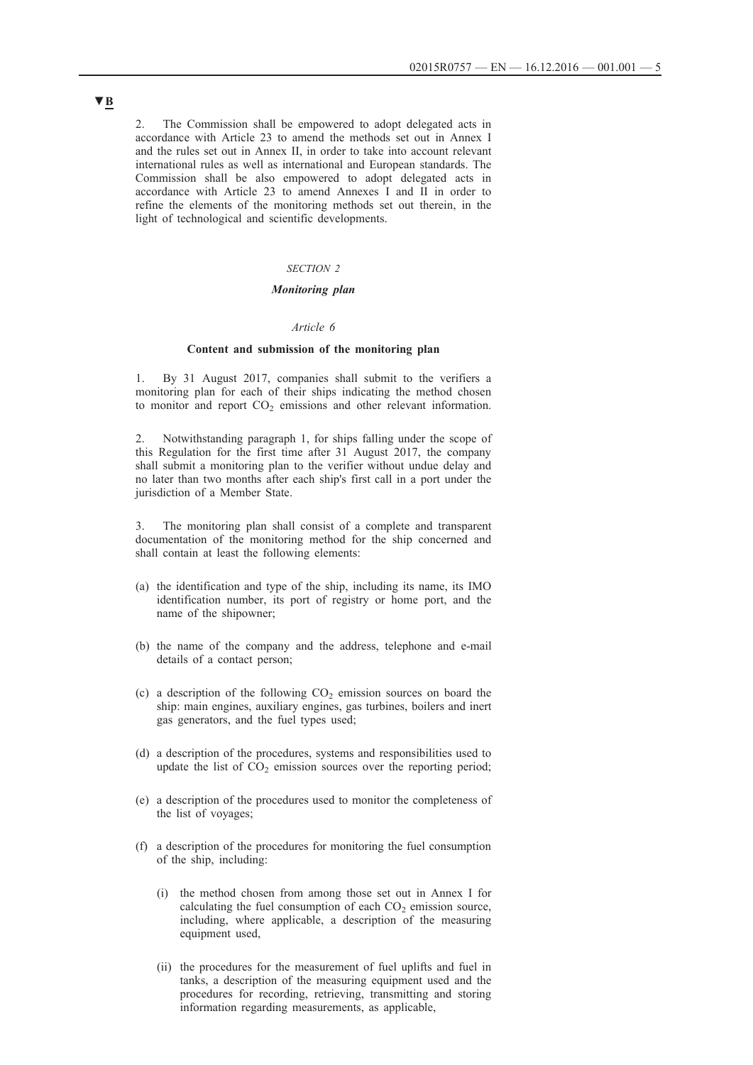2. The Commission shall be empowered to adopt delegated acts in accordance with Article 23 to amend the methods set out in Annex I and the rules set out in Annex II, in order to take into account relevant international rules as well as international and European standards. The Commission shall be also empowered to adopt delegated acts in accordance with Article 23 to amend Annexes I and II in order to refine the elements of the monitoring methods set out therein, in the light of technological and scientific developments.

### *SECTION 2*

#### *Monitoring plan*

# *Article 6*

# **Content and submission of the monitoring plan**

1. By 31 August 2017, companies shall submit to the verifiers a monitoring plan for each of their ships indicating the method chosen to monitor and report CO<sub>2</sub> emissions and other relevant information.

2. Notwithstanding paragraph 1, for ships falling under the scope of this Regulation for the first time after 31 August 2017, the company shall submit a monitoring plan to the verifier without undue delay and no later than two months after each ship's first call in a port under the jurisdiction of a Member State.

3. The monitoring plan shall consist of a complete and transparent documentation of the monitoring method for the ship concerned and shall contain at least the following elements:

- (a) the identification and type of the ship, including its name, its IMO identification number, its port of registry or home port, and the name of the shipowner;
- (b) the name of the company and the address, telephone and e-mail details of a contact person;
- (c) a description of the following  $CO<sub>2</sub>$  emission sources on board the ship: main engines, auxiliary engines, gas turbines, boilers and inert gas generators, and the fuel types used;
- (d) a description of the procedures, systems and responsibilities used to update the list of  $CO<sub>2</sub>$  emission sources over the reporting period;
- (e) a description of the procedures used to monitor the completeness of the list of voyages;
- (f) a description of the procedures for monitoring the fuel consumption of the ship, including:
	- (i) the method chosen from among those set out in Annex I for calculating the fuel consumption of each  $CO<sub>2</sub>$  emission source, including, where applicable, a description of the measuring equipment used,
	- (ii) the procedures for the measurement of fuel uplifts and fuel in tanks, a description of the measuring equipment used and the procedures for recording, retrieving, transmitting and storing information regarding measurements, as applicable,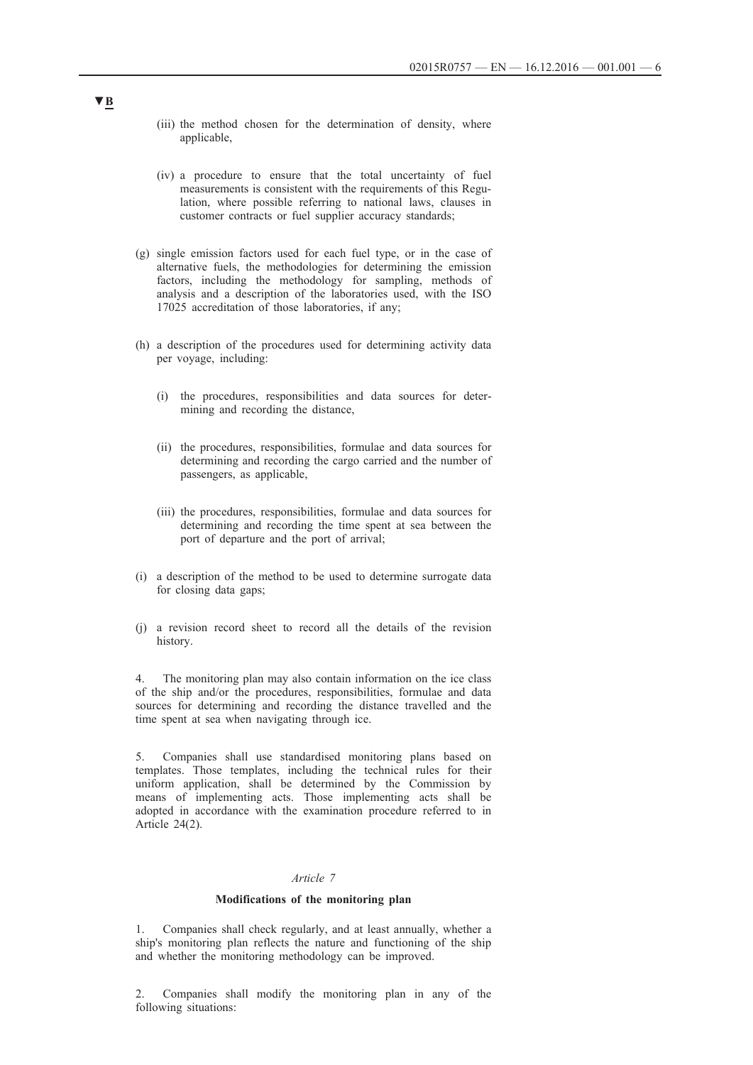- (iii) the method chosen for the determination of density, where applicable.
- (iv) a procedure to ensure that the total uncertainty of fuel measurements is consistent with the requirements of this Regulation, where possible referring to national laws, clauses in customer contracts or fuel supplier accuracy standards;
- (g) single emission factors used for each fuel type, or in the case of alternative fuels, the methodologies for determining the emission factors, including the methodology for sampling, methods of analysis and a description of the laboratories used, with the ISO 17025 accreditation of those laboratories, if any;
- (h) a description of the procedures used for determining activity data per voyage, including:
	- (i) the procedures, responsibilities and data sources for determining and recording the distance,
	- (ii) the procedures, responsibilities, formulae and data sources for determining and recording the cargo carried and the number of passengers, as applicable,
	- (iii) the procedures, responsibilities, formulae and data sources for determining and recording the time spent at sea between the port of departure and the port of arrival;
- (i) a description of the method to be used to determine surrogate data for closing data gaps;
- (j) a revision record sheet to record all the details of the revision history.

4. The monitoring plan may also contain information on the ice class of the ship and/or the procedures, responsibilities, formulae and data sources for determining and recording the distance travelled and the time spent at sea when navigating through ice.

5. Companies shall use standardised monitoring plans based on templates. Those templates, including the technical rules for their uniform application, shall be determined by the Commission by means of implementing acts. Those implementing acts shall be adopted in accordance with the examination procedure referred to in Article 24(2).

# *Article 7*

### **Modifications of the monitoring plan**

1. Companies shall check regularly, and at least annually, whether a ship's monitoring plan reflects the nature and functioning of the ship and whether the monitoring methodology can be improved.

2. Companies shall modify the monitoring plan in any of the following situations: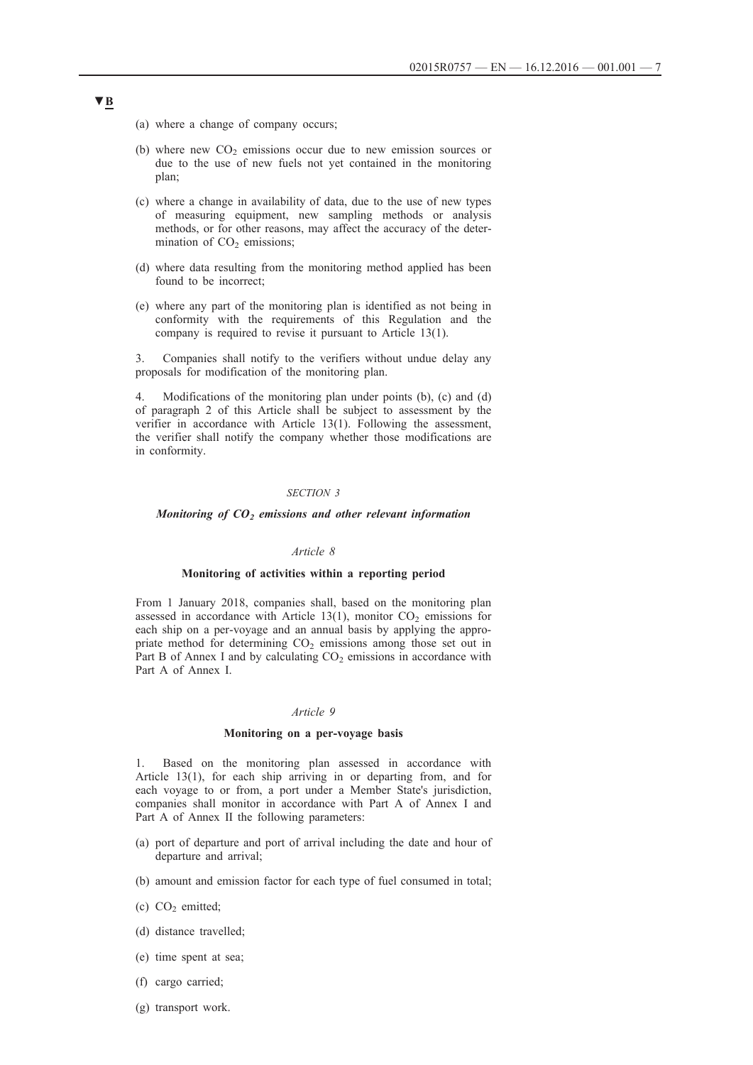- (a) where a change of company occurs;
- (b) where new  $CO<sub>2</sub>$  emissions occur due to new emission sources or due to the use of new fuels not yet contained in the monitoring plan;
- (c) where a change in availability of data, due to the use of new types of measuring equipment, new sampling methods or analysis methods, or for other reasons, may affect the accuracy of the determination of  $CO<sub>2</sub>$  emissions;
- (d) where data resulting from the monitoring method applied has been found to be incorrect;
- (e) where any part of the monitoring plan is identified as not being in conformity with the requirements of this Regulation and the company is required to revise it pursuant to Article 13(1).

3. Companies shall notify to the verifiers without undue delay any proposals for modification of the monitoring plan.

Modifications of the monitoring plan under points (b), (c) and (d) of paragraph 2 of this Article shall be subject to assessment by the verifier in accordance with Article 13(1). Following the assessment, the verifier shall notify the company whether those modifications are in conformity.

### *SECTION 3*

#### *Monitoring of CO2 emissions and other relevant information*

### *Article 8*

### **Monitoring of activities within a reporting period**

From 1 January 2018, companies shall, based on the monitoring plan assessed in accordance with Article 13(1), monitor  $CO<sub>2</sub>$  emissions for each ship on a per-voyage and an annual basis by applying the appropriate method for determining  $CO<sub>2</sub>$  emissions among those set out in Part B of Annex I and by calculating  $CO<sub>2</sub>$  emissions in accordance with Part A of Annex I.

#### *Article 9*

#### **Monitoring on a per-voyage basis**

1. Based on the monitoring plan assessed in accordance with Article 13(1), for each ship arriving in or departing from, and for each voyage to or from, a port under a Member State's jurisdiction, companies shall monitor in accordance with Part A of Annex I and Part A of Annex II the following parameters:

- (a) port of departure and port of arrival including the date and hour of departure and arrival;
- (b) amount and emission factor for each type of fuel consumed in total;
- (c)  $CO<sub>2</sub>$  emitted;
- (d) distance travelled;
- (e) time spent at sea;
- (f) cargo carried;
- (g) transport work.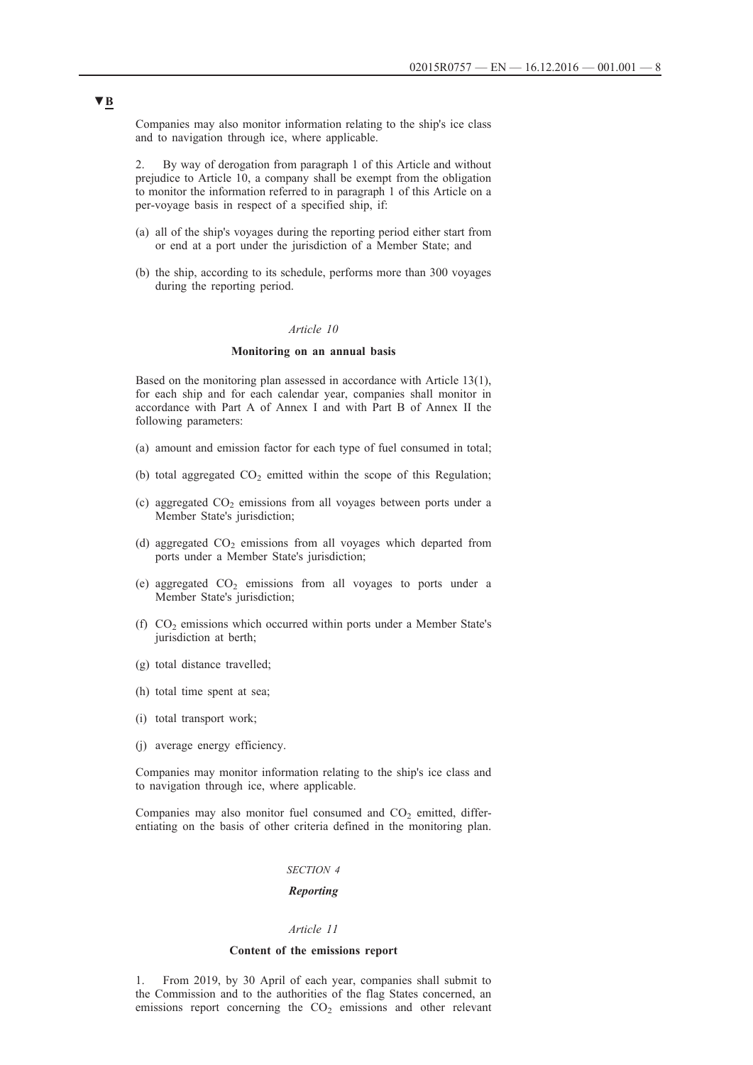Companies may also monitor information relating to the ship's ice class and to navigation through ice, where applicable.

2. By way of derogation from paragraph 1 of this Article and without prejudice to Article 10, a company shall be exempt from the obligation to monitor the information referred to in paragraph 1 of this Article on a per-voyage basis in respect of a specified ship, if:

- (a) all of the ship's voyages during the reporting period either start from or end at a port under the jurisdiction of a Member State; and
- (b) the ship, according to its schedule, performs more than 300 voyages during the reporting period.

#### *Article 10*

### **Monitoring on an annual basis**

Based on the monitoring plan assessed in accordance with Article 13(1), for each ship and for each calendar year, companies shall monitor in accordance with Part A of Annex I and with Part B of Annex II the following parameters:

- (a) amount and emission factor for each type of fuel consumed in total;
- (b) total aggregated  $CO<sub>2</sub>$  emitted within the scope of this Regulation;
- (c) aggregated  $CO<sub>2</sub>$  emissions from all voyages between ports under a Member State's jurisdiction;
- (d) aggregated  $CO<sub>2</sub>$  emissions from all voyages which departed from ports under a Member State's jurisdiction;
- (e) aggregated  $CO<sub>2</sub>$  emissions from all voyages to ports under a Member State's jurisdiction;
- (f)  $CO<sub>2</sub>$  emissions which occurred within ports under a Member State's jurisdiction at berth;
- (g) total distance travelled;
- (h) total time spent at sea;
- (i) total transport work;
- (j) average energy efficiency.

Companies may monitor information relating to the ship's ice class and to navigation through ice, where applicable.

Companies may also monitor fuel consumed and  $CO<sub>2</sub>$  emitted, differentiating on the basis of other criteria defined in the monitoring plan.

#### *SECTION 4*

#### *Reporting*

#### *Article 11*

### **Content of the emissions report**

1. From 2019, by 30 April of each year, companies shall submit to the Commission and to the authorities of the flag States concerned, an emissions report concerning the  $CO<sub>2</sub>$  emissions and other relevant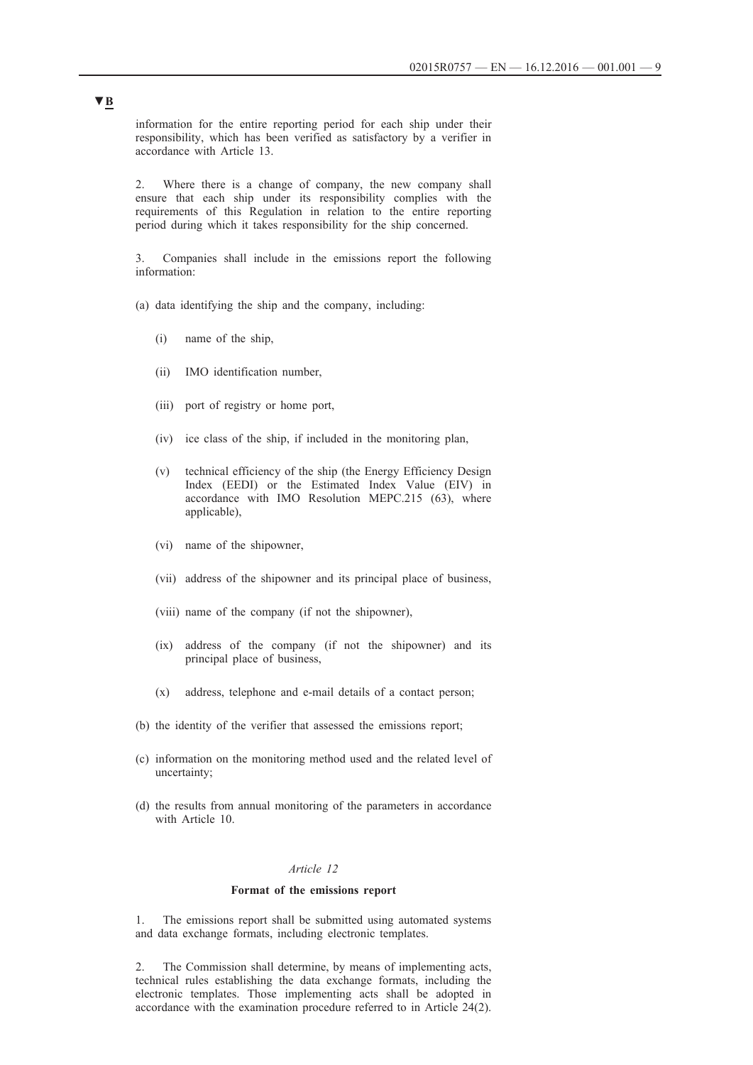information for the entire reporting period for each ship under their responsibility, which has been verified as satisfactory by a verifier in accordance with Article 13.

2. Where there is a change of company, the new company shall ensure that each ship under its responsibility complies with the requirements of this Regulation in relation to the entire reporting period during which it takes responsibility for the ship concerned.

3. Companies shall include in the emissions report the following information:

(a) data identifying the ship and the company, including:

- (i) name of the ship,
- (ii) IMO identification number,
- (iii) port of registry or home port,
- (iv) ice class of the ship, if included in the monitoring plan,
- (v) technical efficiency of the ship (the Energy Efficiency Design Index (EEDI) or the Estimated Index Value (EIV) in accordance with IMO Resolution MEPC.215 (63), where applicable),
- (vi) name of the shipowner,
- (vii) address of the shipowner and its principal place of business,
- (viii) name of the company (if not the shipowner),
- (ix) address of the company (if not the shipowner) and its principal place of business,
- (x) address, telephone and e-mail details of a contact person;
- (b) the identity of the verifier that assessed the emissions report;
- (c) information on the monitoring method used and the related level of uncertainty;
- (d) the results from annual monitoring of the parameters in accordance with Article 10.

#### *Article 12*

#### **Format of the emissions report**

1. The emissions report shall be submitted using automated systems and data exchange formats, including electronic templates.

2. The Commission shall determine, by means of implementing acts, technical rules establishing the data exchange formats, including the electronic templates. Those implementing acts shall be adopted in accordance with the examination procedure referred to in Article 24(2).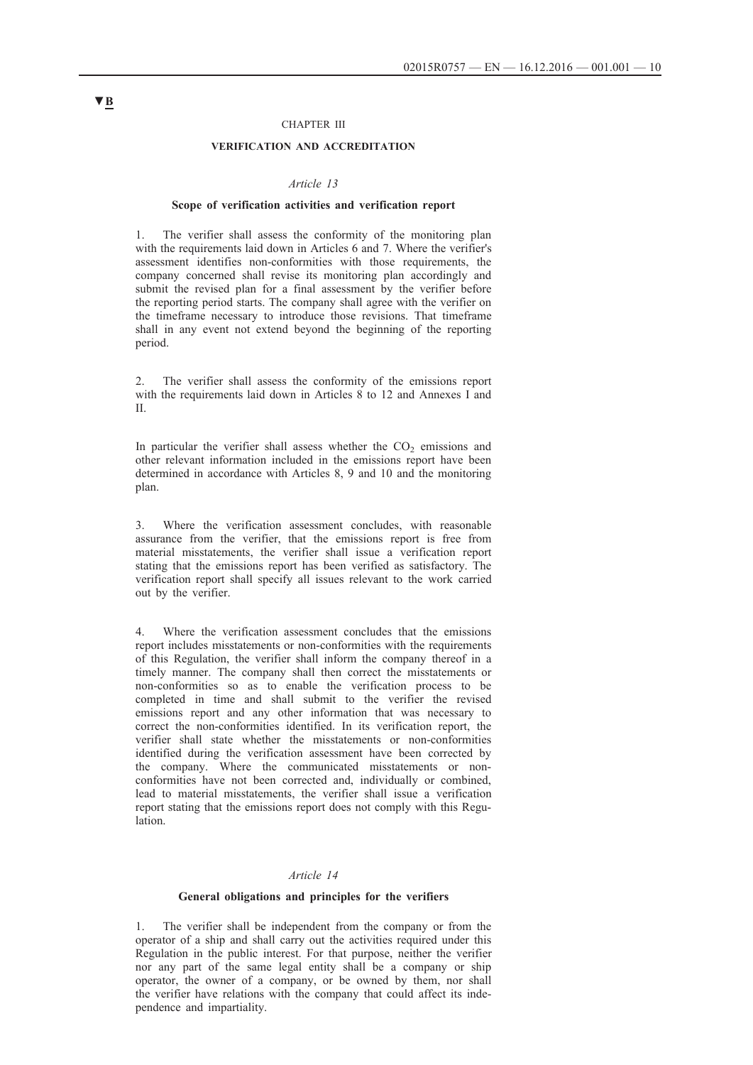#### CHAPTER III

#### **VERIFICATION AND ACCREDITATION**

#### *Article 13*

#### **Scope of verification activities and verification report**

1. The verifier shall assess the conformity of the monitoring plan with the requirements laid down in Articles 6 and 7. Where the verifier's assessment identifies non-conformities with those requirements, the company concerned shall revise its monitoring plan accordingly and submit the revised plan for a final assessment by the verifier before the reporting period starts. The company shall agree with the verifier on the timeframe necessary to introduce those revisions. That timeframe shall in any event not extend beyond the beginning of the reporting period.

2. The verifier shall assess the conformity of the emissions report with the requirements laid down in Articles 8 to 12 and Annexes I and II.

In particular the verifier shall assess whether the  $CO<sub>2</sub>$  emissions and other relevant information included in the emissions report have been determined in accordance with Articles 8, 9 and 10 and the monitoring plan.

3. Where the verification assessment concludes, with reasonable assurance from the verifier, that the emissions report is free from material misstatements, the verifier shall issue a verification report stating that the emissions report has been verified as satisfactory. The verification report shall specify all issues relevant to the work carried out by the verifier.

Where the verification assessment concludes that the emissions report includes misstatements or non-conformities with the requirements of this Regulation, the verifier shall inform the company thereof in a timely manner. The company shall then correct the misstatements or non-conformities so as to enable the verification process to be completed in time and shall submit to the verifier the revised emissions report and any other information that was necessary to correct the non-conformities identified. In its verification report, the verifier shall state whether the misstatements or non-conformities identified during the verification assessment have been corrected by the company. Where the communicated misstatements or nonconformities have not been corrected and, individually or combined, lead to material misstatements, the verifier shall issue a verification report stating that the emissions report does not comply with this Regulation.

#### *Article 14*

#### **General obligations and principles for the verifiers**

The verifier shall be independent from the company or from the operator of a ship and shall carry out the activities required under this Regulation in the public interest. For that purpose, neither the verifier nor any part of the same legal entity shall be a company or ship operator, the owner of a company, or be owned by them, nor shall the verifier have relations with the company that could affect its independence and impartiality.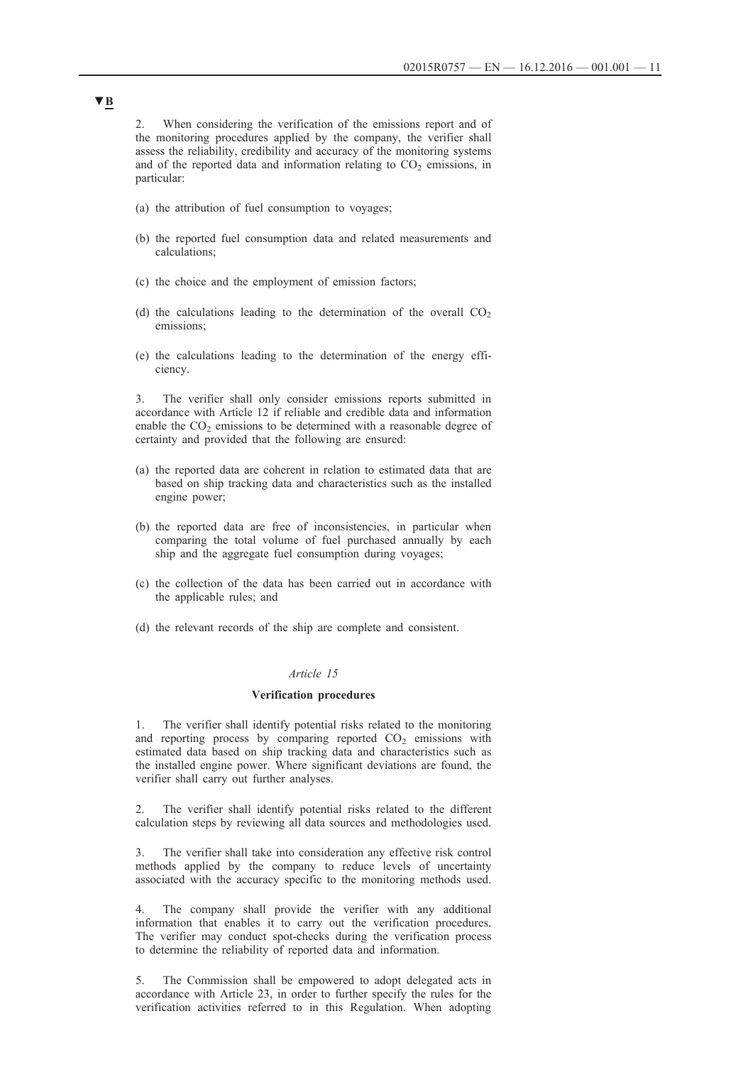2. When considering the verification of the emissions report and of the monitoring procedures applied by the company, the verifier shall assess the reliability, credibility and accuracy of the monitoring systems and of the reported data and information relating to  $CO<sub>2</sub>$  emissions, in particular:

- (a) the attribution of fuel consumption to voyages;
- (b) the reported fuel consumption data and related measurements and calculations;
- (c) the choice and the employment of emission factors;
- (d) the calculations leading to the determination of the overall  $CO<sub>2</sub>$ emissions;
- (e) the calculations leading to the determination of the energy efficiency.

3. The verifier shall only consider emissions reports submitted in accordance with Article 12 if reliable and credible data and information enable the  $CO<sub>2</sub>$  emissions to be determined with a reasonable degree of certainty and provided that the following are ensured:

- (a) the reported data are coherent in relation to estimated data that are based on ship tracking data and characteristics such as the installed engine power;
- (b) the reported data are free of inconsistencies, in particular when comparing the total volume of fuel purchased annually by each ship and the aggregate fuel consumption during voyages;
- (c) the collection of the data has been carried out in accordance with the applicable rules; and
- (d) the relevant records of the ship are complete and consistent.

#### *Article 15*

#### **Verification procedures**

1. The verifier shall identify potential risks related to the monitoring and reporting process by comparing reported  $CO<sub>2</sub>$  emissions with estimated data based on ship tracking data and characteristics such as the installed engine power. Where significant deviations are found, the verifier shall carry out further analyses.

The verifier shall identify potential risks related to the different calculation steps by reviewing all data sources and methodologies used.

3. The verifier shall take into consideration any effective risk control methods applied by the company to reduce levels of uncertainty associated with the accuracy specific to the monitoring methods used.

4. The company shall provide the verifier with any additional information that enables it to carry out the verification procedures. The verifier may conduct spot-checks during the verification process to determine the reliability of reported data and information.

5. The Commission shall be empowered to adopt delegated acts in accordance with Article 23, in order to further specify the rules for the verification activities referred to in this Regulation. When adopting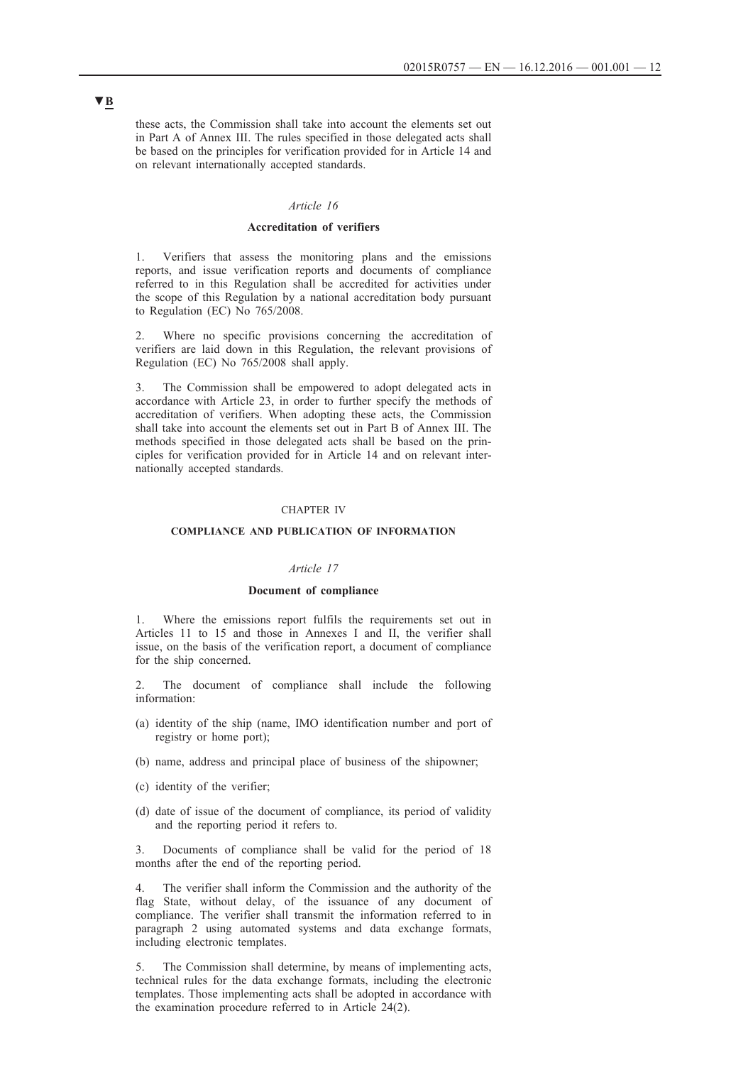these acts, the Commission shall take into account the elements set out in Part A of Annex III. The rules specified in those delegated acts shall be based on the principles for verification provided for in Article 14 and on relevant internationally accepted standards.

### *Article 16*

# **Accreditation of verifiers**

1. Verifiers that assess the monitoring plans and the emissions reports, and issue verification reports and documents of compliance referred to in this Regulation shall be accredited for activities under the scope of this Regulation by a national accreditation body pursuant to Regulation (EC) No 765/2008.

2. Where no specific provisions concerning the accreditation of verifiers are laid down in this Regulation, the relevant provisions of Regulation (EC) No 765/2008 shall apply.

3. The Commission shall be empowered to adopt delegated acts in accordance with Article 23, in order to further specify the methods of accreditation of verifiers. When adopting these acts, the Commission shall take into account the elements set out in Part B of Annex III. The methods specified in those delegated acts shall be based on the principles for verification provided for in Article 14 and on relevant internationally accepted standards.

#### CHAPTER IV

#### **COMPLIANCE AND PUBLICATION OF INFORMATION**

### *Article 17*

#### **Document of compliance**

1. Where the emissions report fulfils the requirements set out in Articles 11 to 15 and those in Annexes I and II, the verifier shall issue, on the basis of the verification report, a document of compliance for the ship concerned.

2. The document of compliance shall include the following information:

- (a) identity of the ship (name, IMO identification number and port of registry or home port);
- (b) name, address and principal place of business of the shipowner;
- (c) identity of the verifier;
- (d) date of issue of the document of compliance, its period of validity and the reporting period it refers to.

3. Documents of compliance shall be valid for the period of 18 months after the end of the reporting period.

4. The verifier shall inform the Commission and the authority of the flag State, without delay, of the issuance of any document of compliance. The verifier shall transmit the information referred to in paragraph 2 using automated systems and data exchange formats, including electronic templates.

5. The Commission shall determine, by means of implementing acts, technical rules for the data exchange formats, including the electronic templates. Those implementing acts shall be adopted in accordance with the examination procedure referred to in Article 24(2).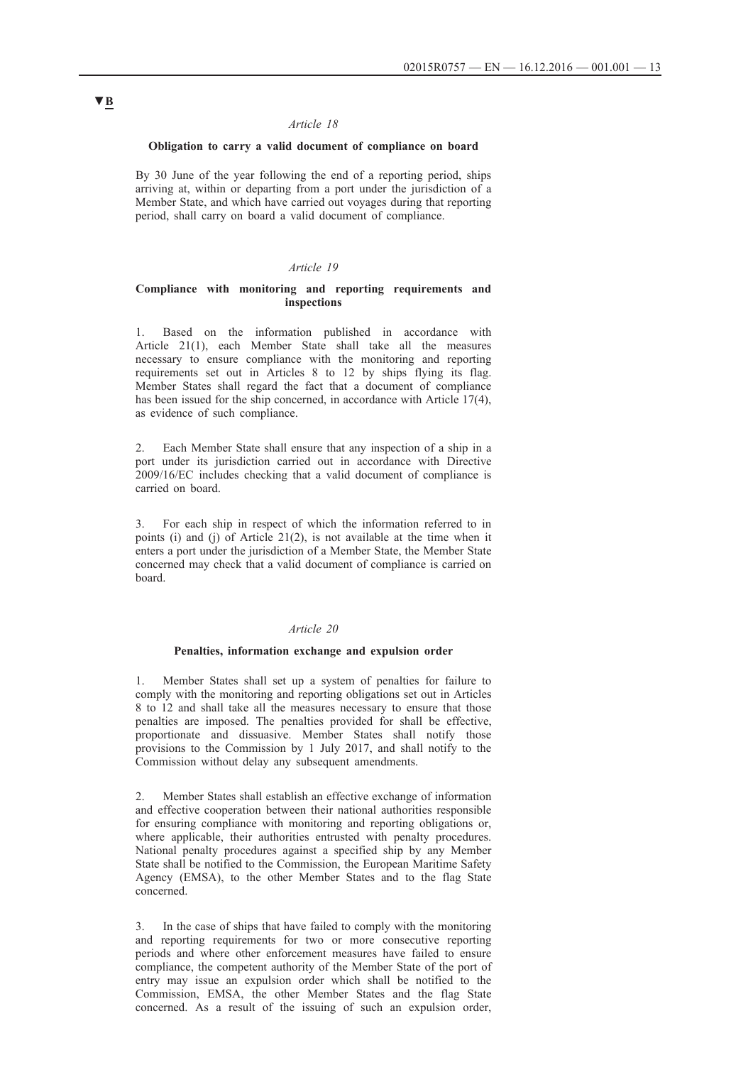### *Article 18*

# **Obligation to carry a valid document of compliance on board**

By 30 June of the year following the end of a reporting period, ships arriving at, within or departing from a port under the jurisdiction of a Member State, and which have carried out voyages during that reporting period, shall carry on board a valid document of compliance.

### *Article 19*

### **Compliance with monitoring and reporting requirements and inspections**

1. Based on the information published in accordance with Article 21(1), each Member State shall take all the measures necessary to ensure compliance with the monitoring and reporting requirements set out in Articles 8 to 12 by ships flying its flag. Member States shall regard the fact that a document of compliance has been issued for the ship concerned, in accordance with Article 17(4), as evidence of such compliance.

2. Each Member State shall ensure that any inspection of a ship in a port under its jurisdiction carried out in accordance with Directive 2009/16/EC includes checking that a valid document of compliance is carried on board.

3. For each ship in respect of which the information referred to in points (i) and (j) of Article 21(2), is not available at the time when it enters a port under the jurisdiction of a Member State, the Member State concerned may check that a valid document of compliance is carried on board.

# *Article 20*

#### **Penalties, information exchange and expulsion order**

1. Member States shall set up a system of penalties for failure to comply with the monitoring and reporting obligations set out in Articles 8 to 12 and shall take all the measures necessary to ensure that those penalties are imposed. The penalties provided for shall be effective, proportionate and dissuasive. Member States shall notify those provisions to the Commission by 1 July 2017, and shall notify to the Commission without delay any subsequent amendments.

2. Member States shall establish an effective exchange of information and effective cooperation between their national authorities responsible for ensuring compliance with monitoring and reporting obligations or, where applicable, their authorities entrusted with penalty procedures. National penalty procedures against a specified ship by any Member State shall be notified to the Commission, the European Maritime Safety Agency (EMSA), to the other Member States and to the flag State concerned.

3. In the case of ships that have failed to comply with the monitoring and reporting requirements for two or more consecutive reporting periods and where other enforcement measures have failed to ensure compliance, the competent authority of the Member State of the port of entry may issue an expulsion order which shall be notified to the Commission, EMSA, the other Member States and the flag State concerned. As a result of the issuing of such an expulsion order,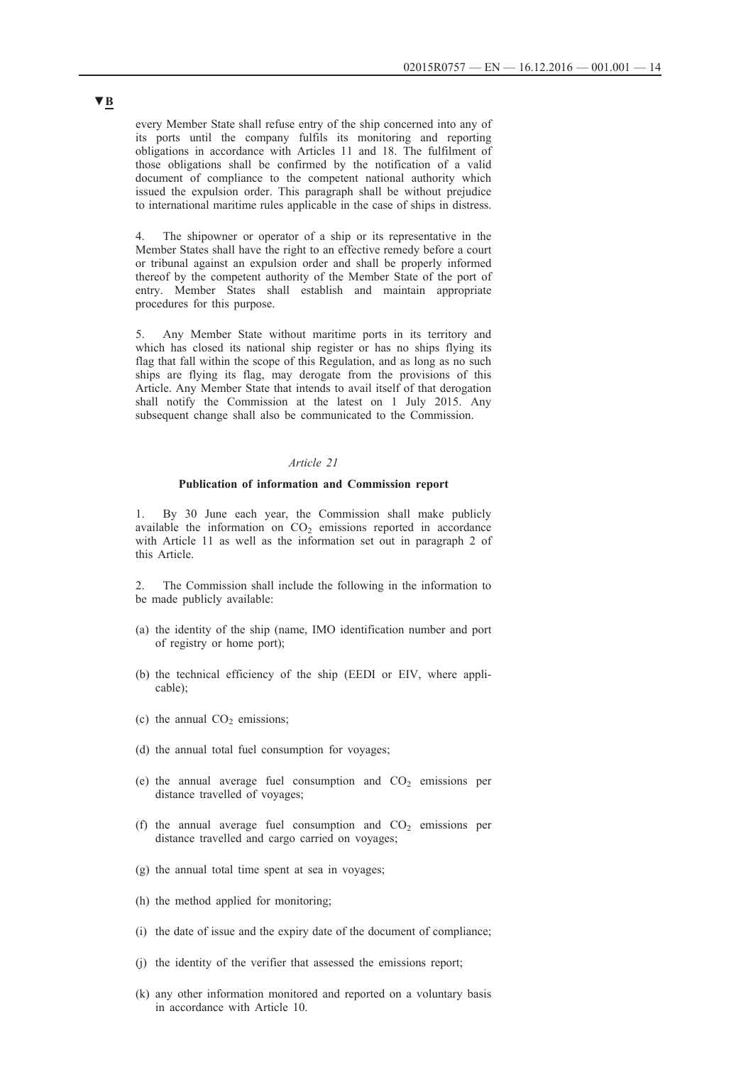every Member State shall refuse entry of the ship concerned into any of its ports until the company fulfils its monitoring and reporting obligations in accordance with Articles 11 and 18. The fulfilment of those obligations shall be confirmed by the notification of a valid document of compliance to the competent national authority which issued the expulsion order. This paragraph shall be without prejudice to international maritime rules applicable in the case of ships in distress.

4. The shipowner or operator of a ship or its representative in the Member States shall have the right to an effective remedy before a court or tribunal against an expulsion order and shall be properly informed thereof by the competent authority of the Member State of the port of entry. Member States shall establish and maintain appropriate procedures for this purpose.

5. Any Member State without maritime ports in its territory and which has closed its national ship register or has no ships flying its flag that fall within the scope of this Regulation, and as long as no such ships are flying its flag, may derogate from the provisions of this Article. Any Member State that intends to avail itself of that derogation shall notify the Commission at the latest on 1 July 2015. Any subsequent change shall also be communicated to the Commission.

# *Article 21*

# **Publication of information and Commission report**

1. By 30 June each year, the Commission shall make publicly available the information on  $CO<sub>2</sub>$  emissions reported in accordance with Article 11 as well as the information set out in paragraph 2 of this Article.

2. The Commission shall include the following in the information to be made publicly available:

- (a) the identity of the ship (name, IMO identification number and port of registry or home port);
- (b) the technical efficiency of the ship (EEDI or EIV, where applicable);
- (c) the annual  $CO<sub>2</sub>$  emissions;
- (d) the annual total fuel consumption for voyages;
- (e) the annual average fuel consumption and  $CO<sub>2</sub>$  emissions per distance travelled of voyages;
- (f) the annual average fuel consumption and  $CO<sub>2</sub>$  emissions per distance travelled and cargo carried on voyages;
- (g) the annual total time spent at sea in voyages;
- (h) the method applied for monitoring;
- (i) the date of issue and the expiry date of the document of compliance;
- (j) the identity of the verifier that assessed the emissions report;
- (k) any other information monitored and reported on a voluntary basis in accordance with Article 10.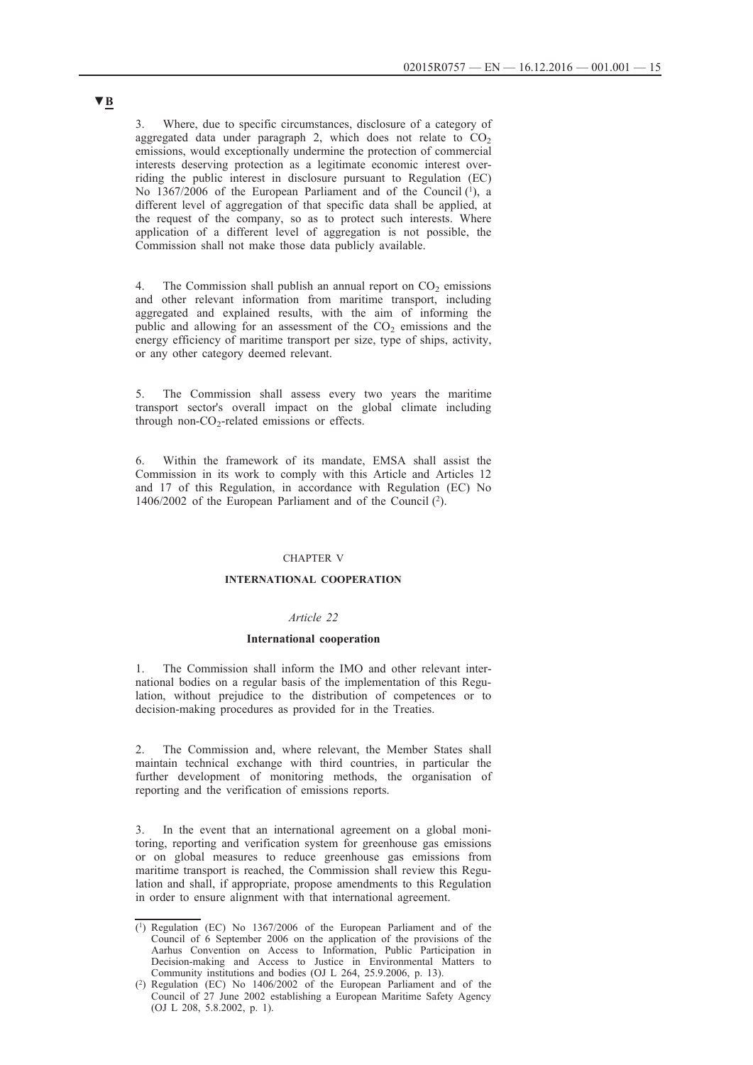3. Where, due to specific circumstances, disclosure of a category of aggregated data under paragraph 2, which does not relate to  $CO<sub>2</sub>$ emissions, would exceptionally undermine the protection of commercial interests deserving protection as a legitimate economic interest overriding the public interest in disclosure pursuant to Regulation (EC) No  $1367/2006$  of the European Parliament and of the Council  $(1)$ , a different level of aggregation of that specific data shall be applied, at the request of the company, so as to protect such interests. Where application of a different level of aggregation is not possible, the Commission shall not make those data publicly available.

4. The Commission shall publish an annual report on  $CO<sub>2</sub>$  emissions and other relevant information from maritime transport, including aggregated and explained results, with the aim of informing the public and allowing for an assessment of the  $CO<sub>2</sub>$  emissions and the energy efficiency of maritime transport per size, type of ships, activity, or any other category deemed relevant.

5. The Commission shall assess every two years the maritime transport sector's overall impact on the global climate including through non- $CO_2$ -related emissions or effects.

6. Within the framework of its mandate, EMSA shall assist the Commission in its work to comply with this Article and Articles 12 and 17 of this Regulation, in accordance with Regulation (EC) No 1406/2002 of the European Parliament and of the Council (2).

# CHAPTER V

#### **INTERNATIONAL COOPERATION**

#### *Article 22*

#### **International cooperation**

1. The Commission shall inform the IMO and other relevant international bodies on a regular basis of the implementation of this Regulation, without prejudice to the distribution of competences or to decision-making procedures as provided for in the Treaties.

2. The Commission and, where relevant, the Member States shall maintain technical exchange with third countries, in particular the further development of monitoring methods, the organisation of reporting and the verification of emissions reports.

3. In the event that an international agreement on a global monitoring, reporting and verification system for greenhouse gas emissions or on global measures to reduce greenhouse gas emissions from maritime transport is reached, the Commission shall review this Regulation and shall, if appropriate, propose amendments to this Regulation in order to ensure alignment with that international agreement.

<sup>(1)</sup> Regulation (EC) No 1367/2006 of the European Parliament and of the Council of 6 September 2006 on the application of the provisions of the Aarhus Convention on Access to Information, Public Participation in Decision-making and Access to Justice in Environmental Matters to Community institutions and bodies (OJ L 264, 25.9.2006, p. 13).

<sup>(2)</sup> Regulation (EC) No 1406/2002 of the European Parliament and of the Council of 27 June 2002 establishing a European Maritime Safety Agency (OJ L 208, 5.8.2002, p. 1).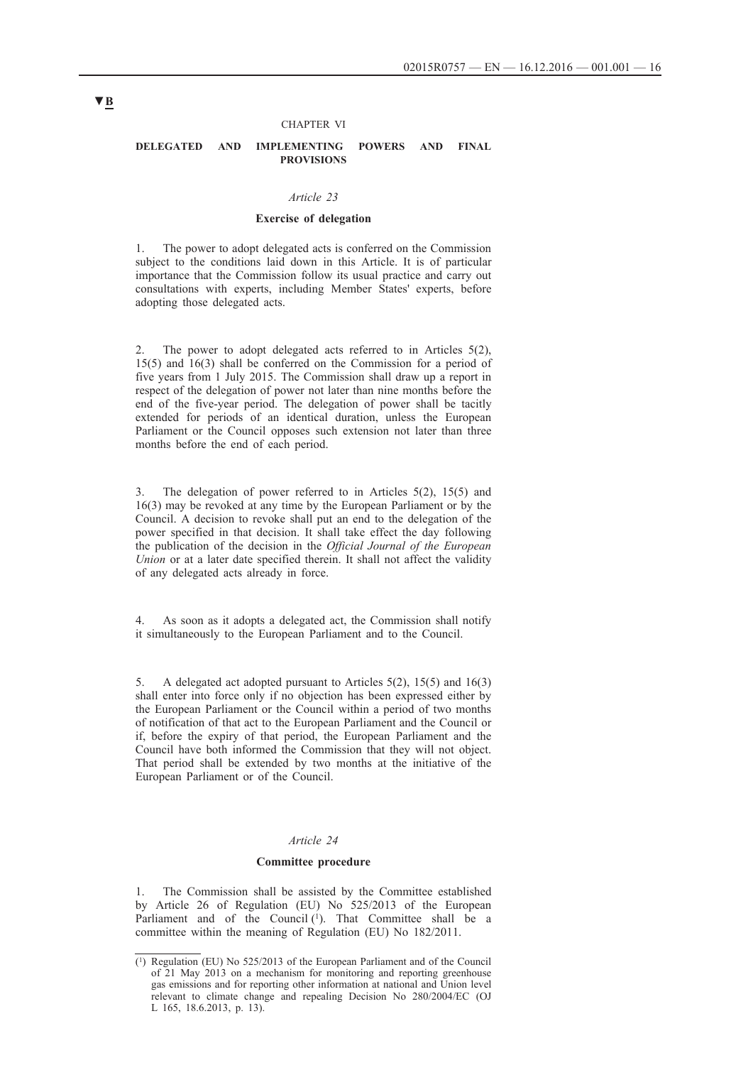#### CHAPTER VI

#### **DELEGATED AND IMPLEMENTING POWERS AND FINAL PROVISIONS**

#### *Article 23*

### **Exercise of delegation**

1. The power to adopt delegated acts is conferred on the Commission subject to the conditions laid down in this Article. It is of particular importance that the Commission follow its usual practice and carry out consultations with experts, including Member States' experts, before adopting those delegated acts.

2. The power to adopt delegated acts referred to in Articles 5(2), 15(5) and 16(3) shall be conferred on the Commission for a period of five years from 1 July 2015. The Commission shall draw up a report in respect of the delegation of power not later than nine months before the end of the five-year period. The delegation of power shall be tacitly extended for periods of an identical duration, unless the European Parliament or the Council opposes such extension not later than three months before the end of each period.

3. The delegation of power referred to in Articles 5(2), 15(5) and 16(3) may be revoked at any time by the European Parliament or by the Council. A decision to revoke shall put an end to the delegation of the power specified in that decision. It shall take effect the day following the publication of the decision in the *Official Journal of the European Union* or at a later date specified therein. It shall not affect the validity of any delegated acts already in force.

As soon as it adopts a delegated act, the Commission shall notify it simultaneously to the European Parliament and to the Council.

5. A delegated act adopted pursuant to Articles 5(2), 15(5) and 16(3) shall enter into force only if no objection has been expressed either by the European Parliament or the Council within a period of two months of notification of that act to the European Parliament and the Council or if, before the expiry of that period, the European Parliament and the Council have both informed the Commission that they will not object. That period shall be extended by two months at the initiative of the European Parliament or of the Council.

### *Article 24*

#### **Committee procedure**

1. The Commission shall be assisted by the Committee established by Article 26 of Regulation (EU) No 525/2013 of the European Parliament and of the Council (1). That Committee shall be a committee within the meaning of Regulation (EU) No 182/2011.

<sup>(1)</sup> Regulation (EU) No 525/2013 of the European Parliament and of the Council of 21 May 2013 on a mechanism for monitoring and reporting greenhouse gas emissions and for reporting other information at national and Union level relevant to climate change and repealing Decision No 280/2004/EC (OJ L 165, 18.6.2013, p. 13).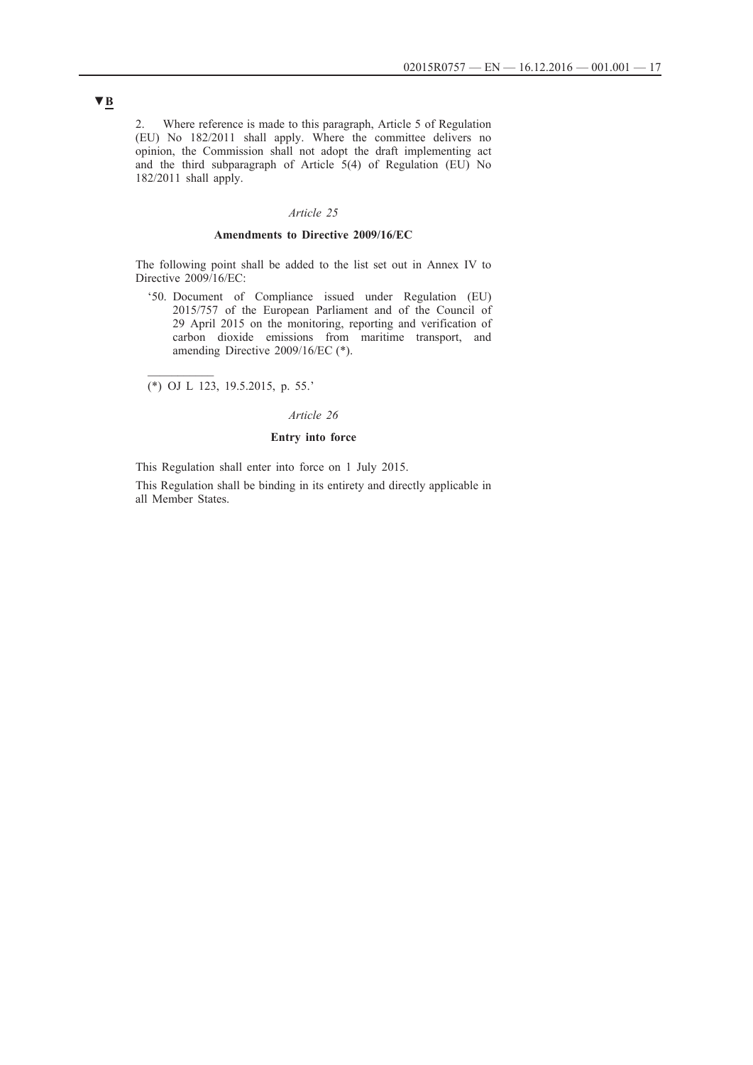2. Where reference is made to this paragraph, Article 5 of Regulation (EU) No 182/2011 shall apply. Where the committee delivers no opinion, the Commission shall not adopt the draft implementing act and the third subparagraph of Article 5(4) of Regulation (EU) No 182/2011 shall apply.

## *Article 25*

### **Amendments to Directive 2009/16/EC**

The following point shall be added to the list set out in Annex IV to Directive 2009/16/EC:

'50. Document of Compliance issued under Regulation (EU) 2015/757 of the European Parliament and of the Council of 29 April 2015 on the monitoring, reporting and verification of carbon dioxide emissions from maritime transport, and amending Directive 2009/16/EC (\*).

(\*) OJ L 123, 19.5.2015, p. 55.'

 $\frac{1}{2}$ 

#### *Article 26*

# **Entry into force**

This Regulation shall enter into force on 1 July 2015.

This Regulation shall be binding in its entirety and directly applicable in all Member States.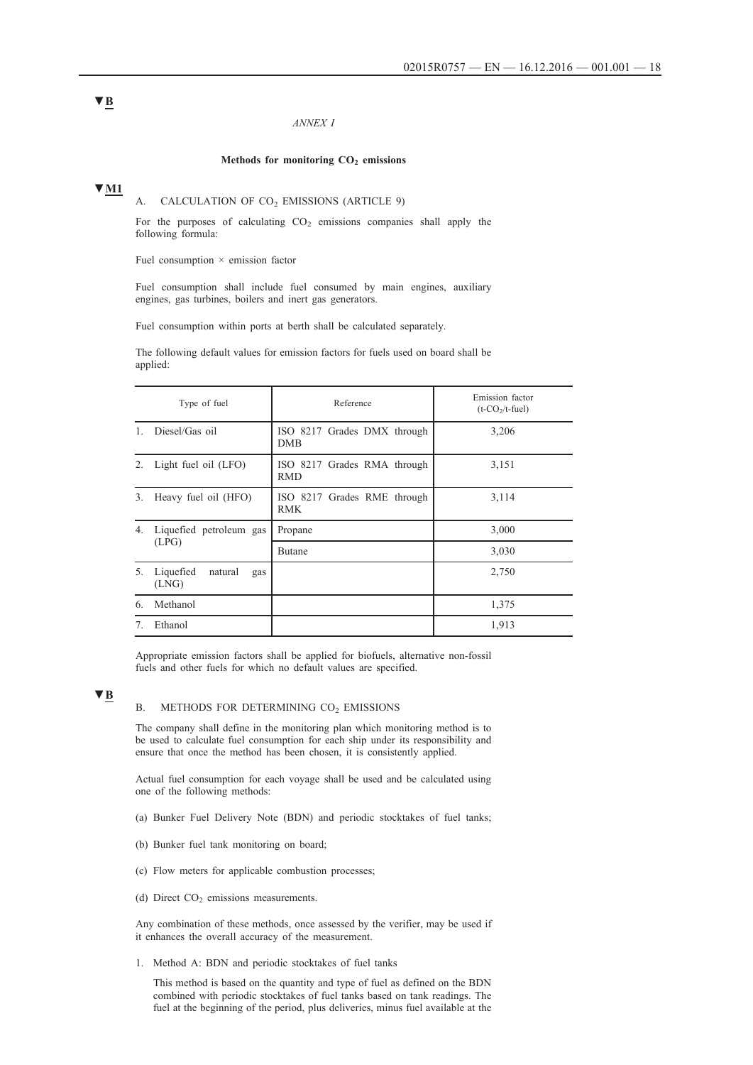#### *ANNEX I*

#### Methods for monitoring CO<sub>2</sub> emissions

# **▼M1**

# A. CALCULATION OF CO<sub>2</sub> EMISSIONS (ARTICLE 9)

For the purposes of calculating  $CO<sub>2</sub>$  emissions companies shall apply the following formula:

Fuel consumption  $\times$  emission factor

Fuel consumption shall include fuel consumed by main engines, auxiliary engines, gas turbines, boilers and inert gas generators.

Fuel consumption within ports at berth shall be calculated separately.

The following default values for emission factors for fuels used on board shall be applied:

|                                  | Type of fuel                         | Reference                                 | Emission factor<br>$(t$ -CO <sub>2</sub> /t-fuel) |
|----------------------------------|--------------------------------------|-------------------------------------------|---------------------------------------------------|
| $1_{-}$                          | Diesel/Gas oil                       | ISO 8217 Grades DMX through<br><b>DMB</b> | 3,206                                             |
| 2.                               | Light fuel oil (LFO)                 | ISO 8217 Grades RMA through<br><b>RMD</b> | 3,151                                             |
| 3.                               | Heavy fuel oil (HFO)                 | ISO 8217 Grades RME through<br><b>RMK</b> | 3,114                                             |
| 4.                               | Liquefied petroleum gas<br>(LPG)     | Propane                                   | 3,000                                             |
|                                  |                                      | Butane                                    | 3,030                                             |
| 5.                               | Liquefied<br>natural<br>gas<br>(LNG) |                                           | 2,750                                             |
| 6.                               | Methanol                             |                                           | 1,375                                             |
| $7_{\scriptscriptstyle{\ddots}}$ | Ethanol                              |                                           | 1,913                                             |

Appropriate emission factors shall be applied for biofuels, alternative non-fossil fuels and other fuels for which no default values are specified.

# **▼B**

### B. METHODS FOR DETERMINING  $CO<sub>2</sub>$  EMISSIONS

The company shall define in the monitoring plan which monitoring method is to be used to calculate fuel consumption for each ship under its responsibility and ensure that once the method has been chosen, it is consistently applied.

Actual fuel consumption for each voyage shall be used and be calculated using one of the following methods:

- (a) Bunker Fuel Delivery Note (BDN) and periodic stocktakes of fuel tanks;
- (b) Bunker fuel tank monitoring on board;
- (c) Flow meters for applicable combustion processes;
- (d) Direct  $CO<sub>2</sub>$  emissions measurements.

Any combination of these methods, once assessed by the verifier, may be used if it enhances the overall accuracy of the measurement.

1. Method A: BDN and periodic stocktakes of fuel tanks

This method is based on the quantity and type of fuel as defined on the BDN combined with periodic stocktakes of fuel tanks based on tank readings. The fuel at the beginning of the period, plus deliveries, minus fuel available at the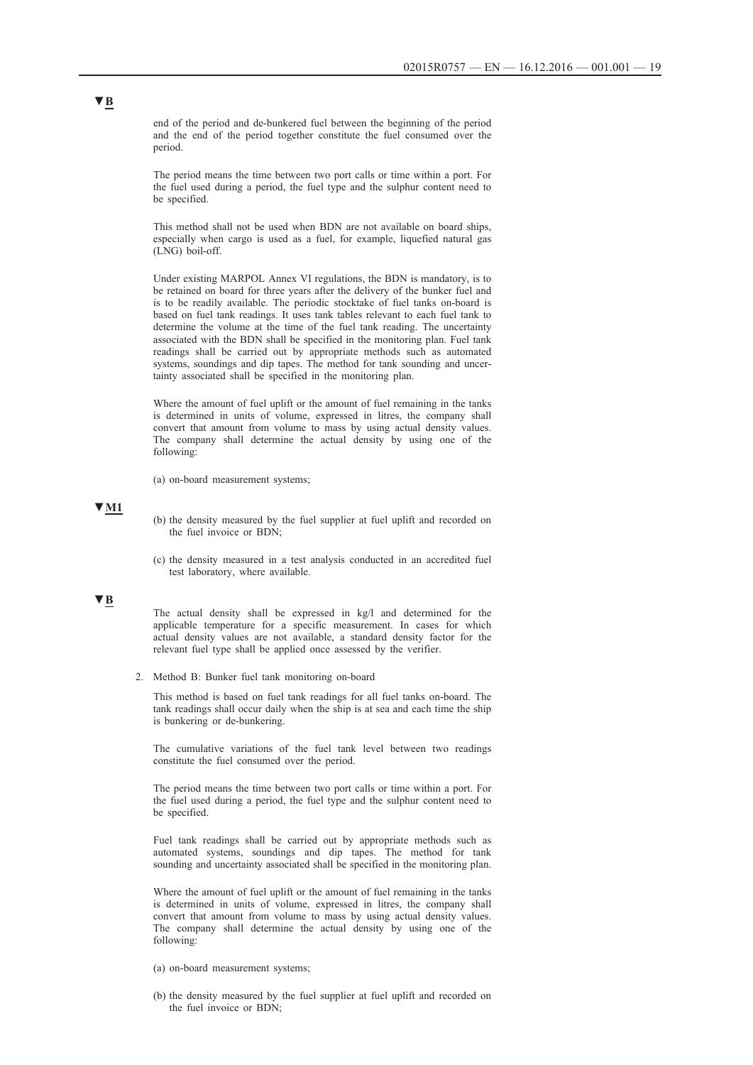end of the period and de-bunkered fuel between the beginning of the period and the end of the period together constitute the fuel consumed over the period.

The period means the time between two port calls or time within a port. For the fuel used during a period, the fuel type and the sulphur content need to be specified.

This method shall not be used when BDN are not available on board ships, especially when cargo is used as a fuel, for example, liquefied natural gas (LNG) boil-off.

Under existing MARPOL Annex VI regulations, the BDN is mandatory, is to be retained on board for three years after the delivery of the bunker fuel and is to be readily available. The periodic stocktake of fuel tanks on-board is based on fuel tank readings. It uses tank tables relevant to each fuel tank to determine the volume at the time of the fuel tank reading. The uncertainty associated with the BDN shall be specified in the monitoring plan. Fuel tank readings shall be carried out by appropriate methods such as automated systems, soundings and dip tapes. The method for tank sounding and uncertainty associated shall be specified in the monitoring plan.

Where the amount of fuel uplift or the amount of fuel remaining in the tanks is determined in units of volume, expressed in litres, the company shall convert that amount from volume to mass by using actual density values. The company shall determine the actual density by using one of the following:

(a) on-board measurement systems;

### **▼M1**

- (b) the density measured by the fuel supplier at fuel uplift and recorded on the fuel invoice or BDN;
- (c) the density measured in a test analysis conducted in an accredited fuel test laboratory, where available.

### **▼B**

The actual density shall be expressed in kg/l and determined for the applicable temperature for a specific measurement. In cases for which actual density values are not available, a standard density factor for the relevant fuel type shall be applied once assessed by the verifier.

2. Method B: Bunker fuel tank monitoring on-board

This method is based on fuel tank readings for all fuel tanks on-board. The tank readings shall occur daily when the ship is at sea and each time the ship is bunkering or de-bunkering.

The cumulative variations of the fuel tank level between two readings constitute the fuel consumed over the period.

The period means the time between two port calls or time within a port. For the fuel used during a period, the fuel type and the sulphur content need to be specified.

Fuel tank readings shall be carried out by appropriate methods such as automated systems, soundings and dip tapes. The method for tank sounding and uncertainty associated shall be specified in the monitoring plan.

Where the amount of fuel uplift or the amount of fuel remaining in the tanks is determined in units of volume, expressed in litres, the company shall convert that amount from volume to mass by using actual density values. The company shall determine the actual density by using one of the following:

- (a) on-board measurement systems;
- (b) the density measured by the fuel supplier at fuel uplift and recorded on the fuel invoice or BDN;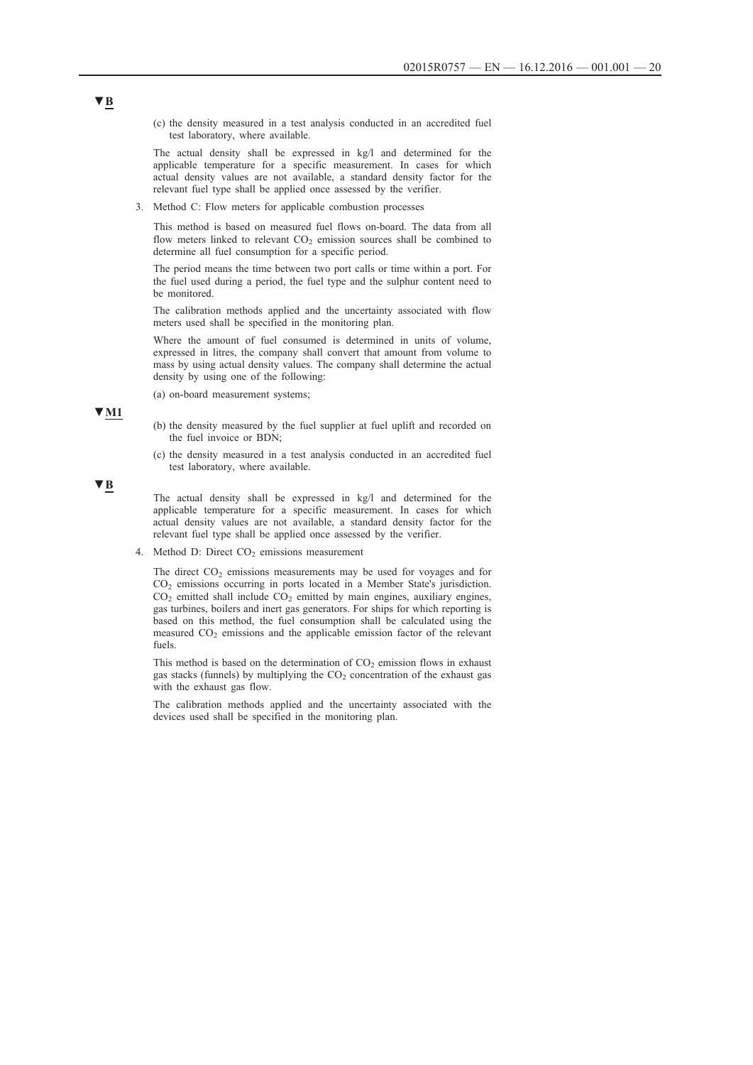(c) the density measured in a test analysis conducted in an accredited fuel test laboratory, where available.

The actual density shall be expressed in kg/l and determined for the applicable temperature for a specific measurement. In cases for which actual density values are not available, a standard density factor for the relevant fuel type shall be applied once assessed by the verifier.

3. Method C: Flow meters for applicable combustion processes

This method is based on measured fuel flows on-board. The data from all flow meters linked to relevant  $CO<sub>2</sub>$  emission sources shall be combined to determine all fuel consumption for a specific period.

The period means the time between two port calls or time within a port. For the fuel used during a period, the fuel type and the sulphur content need to be monitored.

The calibration methods applied and the uncertainty associated with flow meters used shall be specified in the monitoring plan.

Where the amount of fuel consumed is determined in units of volume, expressed in litres, the company shall convert that amount from volume to mass by using actual density values. The company shall determine the actual density by using one of the following:

(a) on-board measurement systems;

### **▼M1**

- (b) the density measured by the fuel supplier at fuel uplift and recorded on the fuel invoice or BDN;
- (c) the density measured in a test analysis conducted in an accredited fuel test laboratory, where available.

#### **▼B**

The actual density shall be expressed in kg/l and determined for the applicable temperature for a specific measurement. In cases for which actual density values are not available, a standard density factor for the relevant fuel type shall be applied once assessed by the verifier.

4. Method D: Direct  $CO<sub>2</sub>$  emissions measurement

The direct  $CO<sub>2</sub>$  emissions measurements may be used for voyages and for CO2 emissions occurring in ports located in a Member State's jurisdiction.  $CO<sub>2</sub>$  emitted shall include  $CO<sub>2</sub>$  emitted by main engines, auxiliary engines, gas turbines, boilers and inert gas generators. For ships for which reporting is based on this method, the fuel consumption shall be calculated using the measured  $CO<sub>2</sub>$  emissions and the applicable emission factor of the relevant fuels.

This method is based on the determination of  $CO<sub>2</sub>$  emission flows in exhaust gas stacks (funnels) by multiplying the  $CO<sub>2</sub>$  concentration of the exhaust gas with the exhaust gas flow.

The calibration methods applied and the uncertainty associated with the devices used shall be specified in the monitoring plan.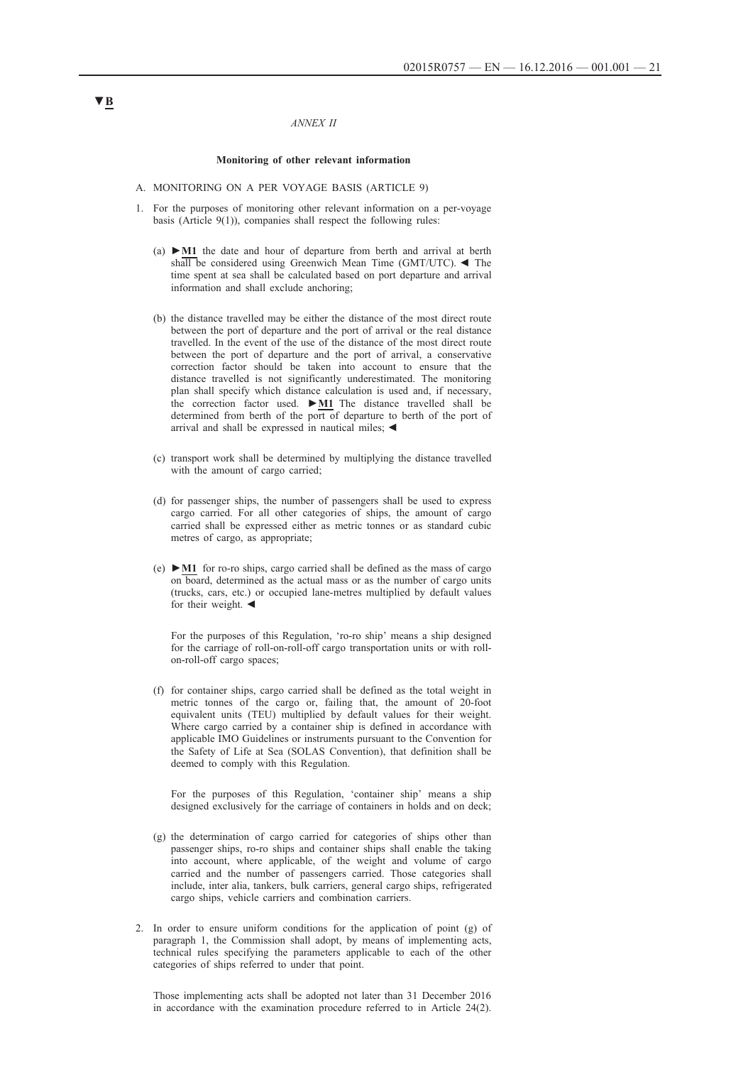#### *ANNEX II*

#### **Monitoring of other relevant information**

- A. MONITORING ON A PER VOYAGE BASIS (ARTICLE 9)
- 1. For the purposes of monitoring other relevant information on a per-voyage basis (Article 9(1)), companies shall respect the following rules:
	- (a) **►M1** the date and hour of departure from berth and arrival at berth shall be considered using Greenwich Mean Time (GMT/UTC). ◄ The time spent at sea shall be calculated based on port departure and arrival information and shall exclude anchoring;
	- (b) the distance travelled may be either the distance of the most direct route between the port of departure and the port of arrival or the real distance travelled. In the event of the use of the distance of the most direct route between the port of departure and the port of arrival, a conservative correction factor should be taken into account to ensure that the distance travelled is not significantly underestimated. The monitoring plan shall specify which distance calculation is used and, if necessary, the correction factor used. **►M1** The distance travelled shall be determined from berth of the port of departure to berth of the port of arrival and shall be expressed in nautical miles; ◄
	- (c) transport work shall be determined by multiplying the distance travelled with the amount of cargo carried;
	- (d) for passenger ships, the number of passengers shall be used to express cargo carried. For all other categories of ships, the amount of cargo carried shall be expressed either as metric tonnes or as standard cubic metres of cargo, as appropriate;
	- (e) **►M1** for ro-ro ships, cargo carried shall be defined as the mass of cargo on board, determined as the actual mass or as the number of cargo units (trucks, cars, etc.) or occupied lane-metres multiplied by default values for their weight.

For the purposes of this Regulation, 'ro-ro ship' means a ship designed for the carriage of roll-on-roll-off cargo transportation units or with rollon-roll-off cargo spaces;

(f) for container ships, cargo carried shall be defined as the total weight in metric tonnes of the cargo or, failing that, the amount of 20-foot equivalent units (TEU) multiplied by default values for their weight. Where cargo carried by a container ship is defined in accordance with applicable IMO Guidelines or instruments pursuant to the Convention for the Safety of Life at Sea (SOLAS Convention), that definition shall be deemed to comply with this Regulation.

For the purposes of this Regulation, 'container ship' means a ship designed exclusively for the carriage of containers in holds and on deck;

- (g) the determination of cargo carried for categories of ships other than passenger ships, ro-ro ships and container ships shall enable the taking into account, where applicable, of the weight and volume of cargo carried and the number of passengers carried. Those categories shall include, inter alia, tankers, bulk carriers, general cargo ships, refrigerated cargo ships, vehicle carriers and combination carriers.
- 2. In order to ensure uniform conditions for the application of point (g) of paragraph 1, the Commission shall adopt, by means of implementing acts, technical rules specifying the parameters applicable to each of the other categories of ships referred to under that point.

Those implementing acts shall be adopted not later than 31 December 2016 in accordance with the examination procedure referred to in Article 24(2).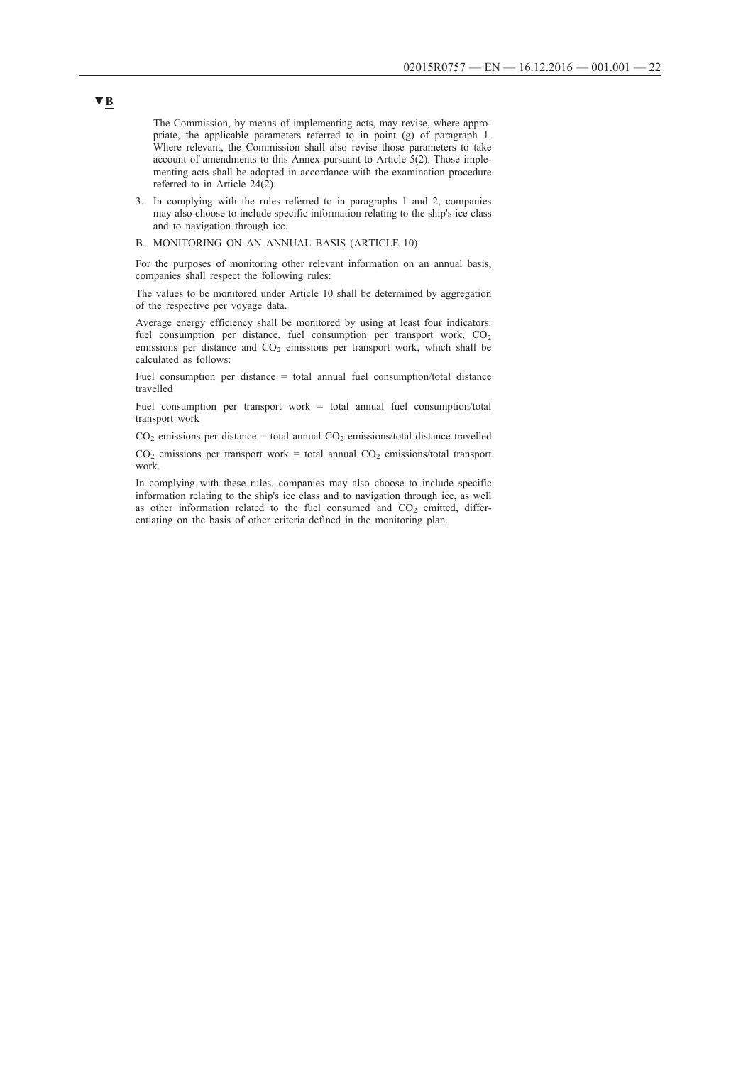The Commission, by means of implementing acts, may revise, where appropriate, the applicable parameters referred to in point (g) of paragraph 1. Where relevant, the Commission shall also revise those parameters to take account of amendments to this Annex pursuant to Article 5(2). Those implementing acts shall be adopted in accordance with the examination procedure referred to in Article 24(2).

- 3. In complying with the rules referred to in paragraphs 1 and 2, companies may also choose to include specific information relating to the ship's ice class and to navigation through ice.
- B. MONITORING ON AN ANNUAL BASIS (ARTICLE 10)

For the purposes of monitoring other relevant information on an annual basis, companies shall respect the following rules:

The values to be monitored under Article 10 shall be determined by aggregation of the respective per voyage data.

Average energy efficiency shall be monitored by using at least four indicators: fuel consumption per distance, fuel consumption per transport work,  $CO<sub>2</sub>$ emissions per distance and  $CO<sub>2</sub>$  emissions per transport work, which shall be calculated as follows:

Fuel consumption per distance = total annual fuel consumption/total distance travelled

Fuel consumption per transport work = total annual fuel consumption/total transport work

 $CO<sub>2</sub>$  emissions per distance = total annual  $CO<sub>2</sub>$  emissions/total distance travelled  $CO<sub>2</sub>$  emissions per transport work = total annual  $CO<sub>2</sub>$  emissions/total transport

work.

In complying with these rules, companies may also choose to include specific information relating to the ship's ice class and to navigation through ice, as well as other information related to the fuel consumed and  $CO<sub>2</sub>$  emitted, differentiating on the basis of other criteria defined in the monitoring plan.